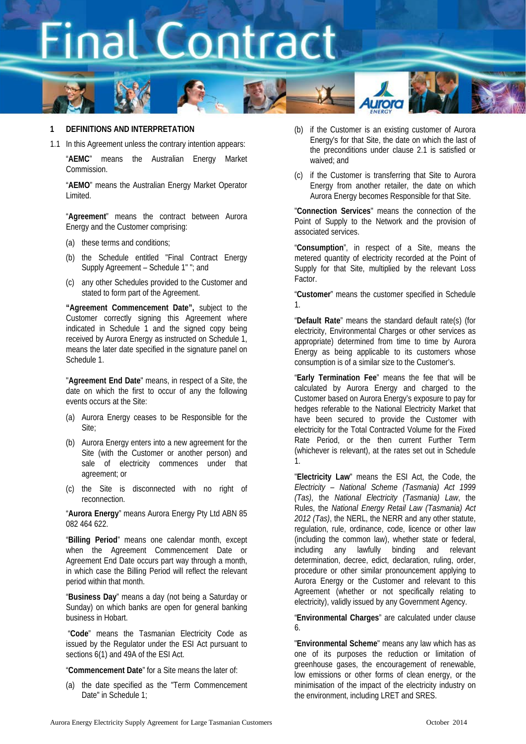

### **1 DEFINITIONS AND INTERPRETATION**

1.1 In this Agreement unless the contrary intention appears:

"**AEMC**" means the Australian Energy Market Commission.

"**AEMO**" means the Australian Energy Market Operator Limited.

"**Agreement**" means the contract between Aurora Energy and the Customer comprising:

- (a) these terms and conditions;
- (b) the Schedule entitled "Final Contract Energy Supply Agreement – Schedule 1" "; and
- (c) any other Schedules provided to the Customer and stated to form part of the Agreement.

**"Agreement Commencement Date",** subject to the Customer correctly signing this Agreement where indicated in Schedule 1 and the signed copy being received by Aurora Energy as instructed on Schedule 1, means the later date specified in the signature panel on Schedule 1.

"**Agreement End Date**" means, in respect of a Site, the date on which the first to occur of any the following events occurs at the Site:

- (a) Aurora Energy ceases to be Responsible for the Site;
- (b) Aurora Energy enters into a new agreement for the Site (with the Customer or another person) and sale of electricity commences under that agreement; or
- (c) the Site is disconnected with no right of reconnection.

"**Aurora Energy**" means Aurora Energy Pty Ltd ABN 85 082 464 622.

"**Billing Period**" means one calendar month, except when the Agreement Commencement Date or Agreement End Date occurs part way through a month, in which case the Billing Period will reflect the relevant period within that month.

"**Business Day**" means a day (not being a Saturday or Sunday) on which banks are open for general banking business in Hobart.

"**Code**" means the Tasmanian Electricity Code as issued by the Regulator under the ESI Act pursuant to sections 6(1) and 49A of the ESI Act.

"**Commencement Date**" for a Site means the later of:

(a) the date specified as the "Term Commencement Date" in Schedule 1:

- (b) if the Customer is an existing customer of Aurora Energy's for that Site, the date on which the last of the preconditions under clause [2.1](#page-3-0) is satisfied or waived; and
- (c) if the Customer is transferring that Site to Aurora Energy from another retailer, the date on which Aurora Energy becomes Responsible for that Site.

"**Connection Services**" means the connection of the Point of Supply to the Network and the provision of associated services.

"**Consumption**", in respect of a Site, means the metered quantity of electricity recorded at the Point of Supply for that Site, multiplied by the relevant Loss Factor.

"**Customer**" means the customer specified in Schedule 1.

"**Default Rate**" means the standard default rate(s) (for electricity, Environmental Charges or other services as appropriate) determined from time to time by Aurora Energy as being applicable to its customers whose consumption is of a similar size to the Customer's.

"**Early Termination Fee**" means the fee that will be calculated by Aurora Energy and charged to the Customer based on Aurora Energy's exposure to pay for hedges referable to the National Electricity Market that have been secured to provide the Customer with electricity for the Total Contracted Volume for the Fixed Rate Period, or the then current Further Term (whichever is relevant), at the rates set out in Schedule 1.

"**Electricity Law**" means the ESI Act, the Code, the *Electricity – National Scheme (Tasmania) Act 1999 (Tas)*, the *National Electricity (Tasmania) Law*, the Rules, the *National Energy Retail Law (Tasmania) Act 2012 (Tas)*, the NERL, the NERR and any other statute, regulation, rule, ordinance, code, licence or other law (including the common law), whether state or federal, including any lawfully binding and relevant determination, decree, edict, declaration, ruling, order, procedure or other similar pronouncement applying to Aurora Energy or the Customer and relevant to this Agreement (whether or not specifically relating to electricity), validly issued by any Government Agency.

"**Environmental Charges**" are calculated under clause [6.](#page-5-0)

"**Environmental Scheme**" means any law which has as one of its purposes the reduction or limitation of greenhouse gases, the encouragement of renewable, low emissions or other forms of clean energy, or the minimisation of the impact of the electricity industry on the environment, including LRET and SRES.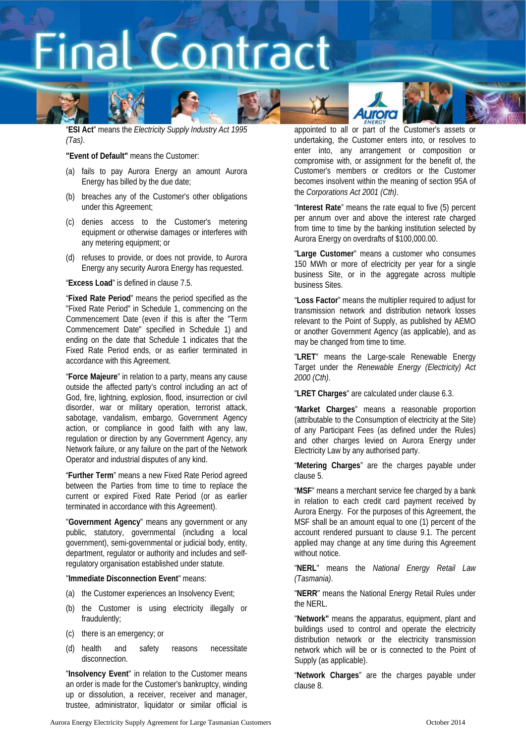



"**ESI Act**" means the *Electricity Supply Industry Act 1995 (Tas)*.

**"Event of Default"** means the Customer:

- (a) fails to pay Aurora Energy an amount Aurora Energy has billed by the due date;
- (b) breaches any of the Customer's other obligations under this Agreement;
- (c) denies access to the Customer's metering equipment or otherwise damages or interferes with any metering equipment; or
- (d) refuses to provide, or does not provide, to Aurora Energy any security Aurora Energy has requested.

"**Excess Load**" is defined in claus[e 7.5.](#page-5-1)

"**Fixed Rate Period**" means the period specified as the "Fixed Rate Period" in Schedule 1, commencing on the Commencement Date (even if this is after the "Term Commencement Date" specified in Schedule 1) and ending on the date that Schedule 1 indicates that the Fixed Rate Period ends, or as earlier terminated in accordance with this Agreement.

"**Force Majeure**" in relation to a party, means any cause outside the affected party's control including an act of God, fire, lightning, explosion, flood, insurrection or civil disorder, war or military operation, terrorist attack, sabotage, vandalism, embargo, Government Agency action, or compliance in good faith with any law, regulation or direction by any Government Agency, any Network failure, or any failure on the part of the Network Operator and industrial disputes of any kind.

"**Further Term**" means a new Fixed Rate Period agreed between the Parties from time to time to replace the current or expired Fixed Rate Period (or as earlier terminated in accordance with this Agreement).

"**Government Agency**" means any government or any public, statutory, governmental (including a local government), semi-governmental or judicial body, entity, department, regulator or authority and includes and selfregulatory organisation established under statute.

#### "**Immediate Disconnection Event**" means:

- (a) the Customer experiences an Insolvency Event;
- (b) the Customer is using electricity illegally or fraudulently;
- (c) there is an emergency; or
- (d) health and safety reasons necessitate disconnection.

"**Insolvency Event**" in relation to the Customer means an order is made for the Customer's bankruptcy, winding up or dissolution, a receiver, receiver and manager, trustee, administrator, liquidator or similar official is

appointed to all or part of the Customer's assets or undertaking, the Customer enters into, or resolves to enter into, any arrangement or composition or compromise with, or assignment for the benefit of, the Customer's members or creditors or the Customer becomes insolvent within the meaning of section 95A of the *Corporations Act 2001 (Cth)*.

rora

"**Interest Rate**" means the rate equal to five (5) percent per annum over and above the interest rate charged from time to time by the banking institution selected by Aurora Energy on overdrafts of \$100,000.00.

"**Large Customer**" means a customer who consumes 150 MWh or more of electricity per year for a single business Site, or in the aggregate across multiple business Sites.

"**Loss Factor**" means the multiplier required to adjust for transmission network and distribution network losses relevant to the Point of Supply, as published by AEMO or another Government Agency (as applicable), and as may be changed from time to time.

"**LRET**" means the Large-scale Renewable Energy Target under the *Renewable Energy (Electricity) Act 2000 (Cth)*.

"**LRET Charges**" are calculated under clause [6.3.](#page-5-2)

"**Market Charges**" means a reasonable proportion (attributable to the Consumption of electricity at the Site) of any Participant Fees (as defined under the Rules) and other charges levied on Aurora Energy under Electricity Law by any authorised party.

"**Metering Charges**" are the charges payable under clause [5.](#page-4-0)

"**MSF**" means a merchant service fee charged by a bank in relation to each credit card payment received by Aurora Energy. For the purposes of this Agreement, the MSF shall be an amount equal to one (1) percent of the account rendered pursuant to clause [9.1.](#page-6-0) The percent applied may change at any time during this Agreement without notice.

"**NERL**" means the *National Energy Retail Law (Tasmania)*.

"**NERR**" means the National Energy Retail Rules under the NERL.

"**Network"** means the apparatus, equipment, plant and buildings used to control and operate the electricity distribution network or the electricity transmission network which will be or is connected to the Point of Supply (as applicable).

"**Network Charges**" are the charges payable under clause [8.](#page-6-1)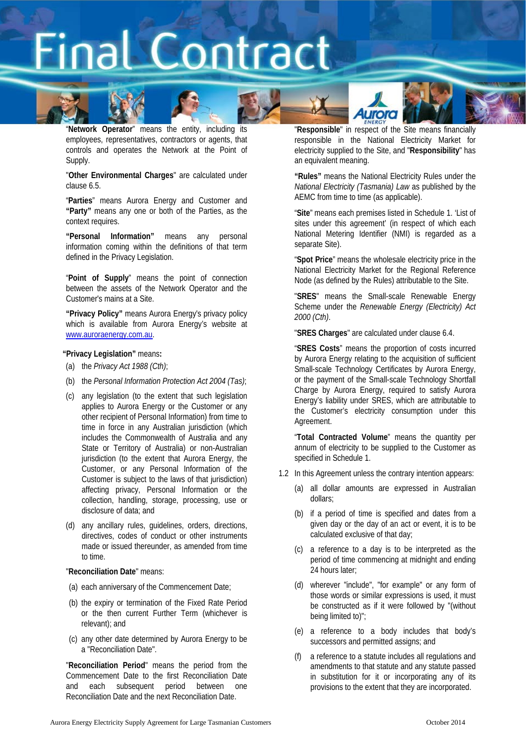



"**Network Operator**" means the entity, including its employees, representatives, contractors or agents, that controls and operates the Network at the Point of Supply.

"**Other Environmental Charges**" are calculated under claus[e 6.5.](#page-5-3)

"**Parties**" means Aurora Energy and Customer and **"Party"** means any one or both of the Parties, as the context requires.

**"Personal Information"** means any personal information coming within the definitions of that term defined in the Privacy Legislation.

"**Point of Supply**" means the point of connection between the assets of the Network Operator and the Customer's mains at a Site.

**"Privacy Policy"** means Aurora Energy's privacy policy which is available from Aurora Energy's website at [www.auroraenergy.com.au.](http://www.auroraenergy.com.au/)

### **"Privacy Legislation"** means**:**

- (a) the *Privacy Act 1988 (Cth)*;
- (b) the *Personal Information Protection Act 2004 (Tas)*;
- (c) any legislation (to the extent that such legislation applies to Aurora Energy or the Customer or any other recipient of Personal Information) from time to time in force in any Australian jurisdiction (which includes the Commonwealth of Australia and any State or Territory of Australia) or non-Australian jurisdiction (to the extent that Aurora Energy, the Customer, or any Personal Information of the Customer is subject to the laws of that jurisdiction) affecting privacy, Personal Information or the collection, handling, storage, processing, use or disclosure of data; and
- (d) any ancillary rules, guidelines, orders, directions, directives, codes of conduct or other instruments made or issued thereunder, as amended from time to time.

### "**Reconciliation Date**" means:

- (a) each anniversary of the Commencement Date;
- (b) the expiry or termination of the Fixed Rate Period or the then current Further Term (whichever is relevant); and
- (c) any other date determined by Aurora Energy to be a "Reconciliation Date".

"**Reconciliation Period**" means the period from the Commencement Date to the first Reconciliation Date and each subsequent period between one Reconciliation Date and the next Reconciliation Date.

"**Responsible**" in respect of the Site means financially responsible in the National Electricity Market for electricity supplied to the Site, and "**Responsibility**" has an equivalent meaning.

rora

**"Rules"** means the National Electricity Rules under the *National Electricity (Tasmania) Law* as published by the AEMC from time to time (as applicable).

"**Site**" means each premises listed in Schedule 1. 'List of sites under this agreement' (in respect of which each National Metering Identifier (NMI) is regarded as a separate Site).

"**Spot Price**" means the wholesale electricity price in the National Electricity Market for the Regional Reference Node (as defined by the Rules) attributable to the Site.

"**SRES**" means the Small-scale Renewable Energy Scheme under the *Renewable Energy (Electricity) Act 2000 (Cth)*.

"**SRES Charges**" are calculated under clause [6.4.](#page-5-4)

"**SRES Costs**" means the proportion of costs incurred by Aurora Energy relating to the acquisition of sufficient Small-scale Technology Certificates by Aurora Energy, or the payment of the Small-scale Technology Shortfall Charge by Aurora Energy, required to satisfy Aurora Energy's liability under SRES, which are attributable to the Customer's electricity consumption under this Agreement.

"**Total Contracted Volume**" means the quantity per annum of electricity to be supplied to the Customer as specified in Schedule 1.

- 1.2 In this Agreement unless the contrary intention appears:
	- (a) all dollar amounts are expressed in Australian dollars;
	- (b) if a period of time is specified and dates from a given day or the day of an act or event, it is to be calculated exclusive of that day;
	- (c) a reference to a day is to be interpreted as the period of time commencing at midnight and ending 24 hours later;
	- (d) wherever "include", "for example" or any form of those words or similar expressions is used, it must be constructed as if it were followed by "(without being limited to)";
	- (e) a reference to a body includes that body's successors and permitted assigns; and
	- (f) a reference to a statute includes all regulations and amendments to that statute and any statute passed in substitution for it or incorporating any of its provisions to the extent that they are incorporated.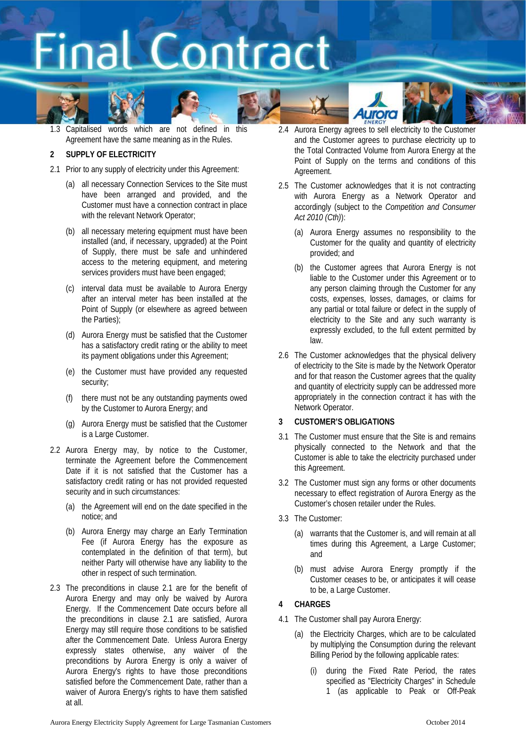





### **2 SUPPLY OF ELECTRICITY**

- <span id="page-3-0"></span>2.1 Prior to any supply of electricity under this Agreement:
	- (a) all necessary Connection Services to the Site must have been arranged and provided, and the Customer must have a connection contract in place with the relevant Network Operator;
	- (b) all necessary metering equipment must have been installed (and, if necessary, upgraded) at the Point of Supply, there must be safe and unhindered access to the metering equipment, and metering services providers must have been engaged;
	- (c) interval data must be available to Aurora Energy after an interval meter has been installed at the Point of Supply (or elsewhere as agreed between the Parties);
	- (d) Aurora Energy must be satisfied that the Customer has a satisfactory credit rating or the ability to meet its payment obligations under this Agreement;
	- (e) the Customer must have provided any requested security;
	- (f) there must not be any outstanding payments owed by the Customer to Aurora Energy; and
	- (g) Aurora Energy must be satisfied that the Customer is a Large Customer.
- 2.2 Aurora Energy may, by notice to the Customer, terminate the Agreement before the Commencement Date if it is not satisfied that the Customer has a satisfactory credit rating or has not provided requested security and in such circumstances:
	- (a) the Agreement will end on the date specified in the notice; and
	- (b) Aurora Energy may charge an Early Termination Fee (if Aurora Energy has the exposure as contemplated in the definition of that term), but neither Party will otherwise have any liability to the other in respect of such termination.
- 2.3 The preconditions in clause [2.1](#page-3-0) are for the benefit of Aurora Energy and may only be waived by Aurora Energy. If the Commencement Date occurs before all the preconditions in clause [2.1](#page-3-0) are satisfied, Aurora Energy may still require those conditions to be satisfied after the Commencement Date. Unless Aurora Energy expressly states otherwise, any waiver of the preconditions by Aurora Energy is only a waiver of Aurora Energy's rights to have those preconditions satisfied before the Commencement Date, rather than a waiver of Aurora Energy's rights to have them satisfied at all.

2.4 Aurora Energy agrees to sell electricity to the Customer and the Customer agrees to purchase electricity up to the Total Contracted Volume from Aurora Energy at the Point of Supply on the terms and conditions of this Agreement.

rora

- 2.5 The Customer acknowledges that it is not contracting with Aurora Energy as a Network Operator and accordingly (subject to the *Competition and Consumer Act 2010 (Cth)*):
	- (a) Aurora Energy assumes no responsibility to the Customer for the quality and quantity of electricity provided; and
	- (b) the Customer agrees that Aurora Energy is not liable to the Customer under this Agreement or to any person claiming through the Customer for any costs, expenses, losses, damages, or claims for any partial or total failure or defect in the supply of electricity to the Site and any such warranty is expressly excluded, to the full extent permitted by law.
- 2.6 The Customer acknowledges that the physical delivery of electricity to the Site is made by the Network Operator and for that reason the Customer agrees that the quality and quantity of electricity supply can be addressed more appropriately in the connection contract it has with the Network Operator.

### **3 CUSTOMER'S OBLIGATIONS**

- 3.1 The Customer must ensure that the Site is and remains physically connected to the Network and that the Customer is able to take the electricity purchased under this Agreement.
- 3.2 The Customer must sign any forms or other documents necessary to effect registration of Aurora Energy as the Customer's chosen retailer under the Rules.
- <span id="page-3-2"></span>3.3 The Customer:
	- (a) warrants that the Customer is, and will remain at all times during this Agreement, a Large Customer; and
	- (b) must advise Aurora Energy promptly if the Customer ceases to be, or anticipates it will cease to be, a Large Customer.

### <span id="page-3-3"></span>**4 CHARGES**

- <span id="page-3-1"></span>4.1 The Customer shall pay Aurora Energy:
	- (a) the Electricity Charges, which are to be calculated by multiplying the Consumption during the relevant Billing Period by the following applicable rates:
		- (i) during the Fixed Rate Period, the rates specified as "Electricity Charges" in Schedule 1 (as applicable to Peak or Off-Peak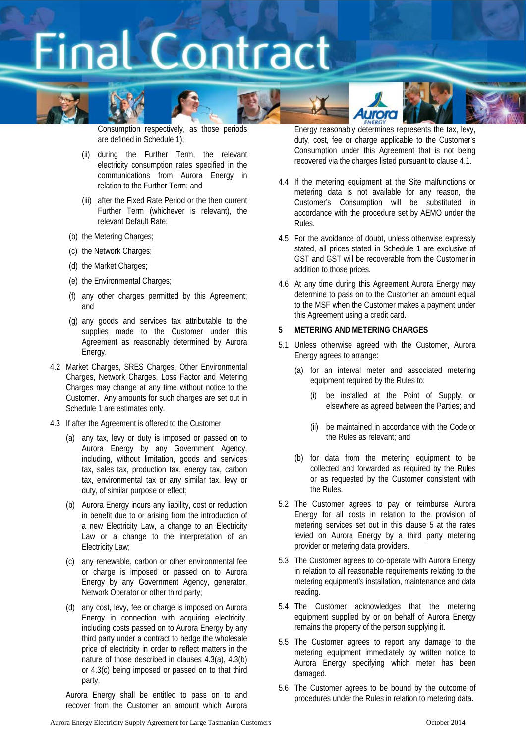











Consumption respectively, as those periods are defined in Schedule 1);

- (ii) during the Further Term, the relevant electricity consumption rates specified in the communications from Aurora Energy in relation to the Further Term; and
- (iii) after the Fixed Rate Period or the then current Further Term (whichever is relevant), the relevant Default Rate;
- (b) the Metering Charges;
- (c) the Network Charges;
- (d) the Market Charges;
- (e) the Environmental Charges;
- (f) any other charges permitted by this Agreement; and
- (g) any goods and services tax attributable to the supplies made to the Customer under this Agreement as reasonably determined by Aurora Energy.
- 4.2 Market Charges, SRES Charges, Other Environmental Charges, Network Charges, Loss Factor and Metering Charges may change at any time without notice to the Customer. Any amounts for such charges are set out in Schedule 1 are estimates only.
- <span id="page-4-2"></span><span id="page-4-1"></span>4.3 If after the Agreement is offered to the Customer
	- (a) any tax, levy or duty is imposed or passed on to Aurora Energy by any Government Agency, including, without limitation, goods and services tax, sales tax, production tax, energy tax, carbon tax, environmental tax or any similar tax, levy or duty, of similar purpose or effect;
	- (b) Aurora Energy incurs any liability, cost or reduction in benefit due to or arising from the introduction of a new Electricity Law, a change to an Electricity Law or a change to the interpretation of an Electricity Law;
	- (c) any renewable, carbon or other environmental fee or charge is imposed or passed on to Aurora Energy by any Government Agency, generator, Network Operator or other third party;
	- (d) any cost, levy, fee or charge is imposed on Aurora Energy in connection with acquiring electricity, including costs passed on to Aurora Energy by any third party under a contract to hedge the wholesale price of electricity in order to reflect matters in the nature of those described in clauses [4.3\(a\),](#page-4-1) [4.3\(b\)](#page-4-2) or [4.3\(c\)](#page-4-3) being imposed or passed on to that third party,

<span id="page-4-3"></span>Aurora Energy shall be entitled to pass on to and recover from the Customer an amount which Aurora

Energy reasonably determines represents the tax, levy, duty, cost, fee or charge applicable to the Customer's Consumption under this Agreement that is not being recovered via the charges listed pursuant to claus[e 4.1.](#page-3-1)

- 4.4 If the metering equipment at the Site malfunctions or metering data is not available for any reason, the Customer's Consumption will be substituted in accordance with the procedure set by AEMO under the Rules.
- 4.5 For the avoidance of doubt, unless otherwise expressly stated, all prices stated in Schedule 1 are exclusive of GST and GST will be recoverable from the Customer in addition to those prices.
- 4.6 At any time during this Agreement Aurora Energy may determine to pass on to the Customer an amount equal to the MSF when the Customer makes a payment under this Agreement using a credit card.

### <span id="page-4-0"></span>**5 METERING AND METERING CHARGES**

- 5.1 Unless otherwise agreed with the Customer, Aurora Energy agrees to arrange:
	- (a) for an interval meter and associated metering equipment required by the Rules to:
		- (i) be installed at the Point of Supply, or elsewhere as agreed between the Parties; and
		- (ii) be maintained in accordance with the Code or the Rules as relevant; and
	- (b) for data from the metering equipment to be collected and forwarded as required by the Rules or as requested by the Customer consistent with the Rules.
- 5.2 The Customer agrees to pay or reimburse Aurora Energy for all costs in relation to the provision of metering services set out in this clause [5](#page-4-0) at the rates levied on Aurora Energy by a third party metering provider or metering data providers.
- 5.3 The Customer agrees to co-operate with Aurora Energy in relation to all reasonable requirements relating to the metering equipment's installation, maintenance and data reading.
- 5.4 The Customer acknowledges that the metering equipment supplied by or on behalf of Aurora Energy remains the property of the person supplying it.
- 5.5 The Customer agrees to report any damage to the metering equipment immediately by written notice to Aurora Energy specifying which meter has been damaged.
- 5.6 The Customer agrees to be bound by the outcome of procedures under the Rules in relation to metering data.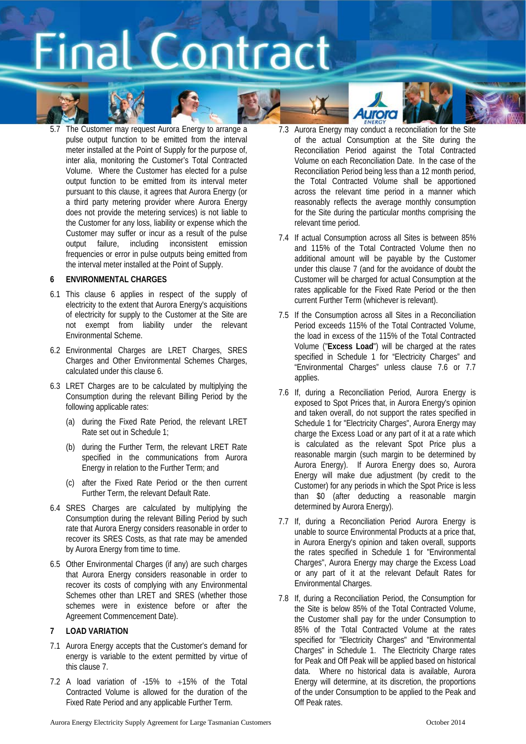



5.7 The Customer may request Aurora Energy to arrange a pulse output function to be emitted from the interval meter installed at the Point of Supply for the purpose of, inter alia, monitoring the Customer's Total Contracted Volume. Where the Customer has elected for a pulse output function to be emitted from its interval meter pursuant to this clause, it agrees that Aurora Energy (or a third party metering provider where Aurora Energy does not provide the metering services) is not liable to the Customer for any loss, liability or expense which the Customer may suffer or incur as a result of the pulse output failure, including inconsistent emission frequencies or error in pulse outputs being emitted from the interval meter installed at the Point of Supply.

### <span id="page-5-0"></span>**6 ENVIRONMENTAL CHARGES**

- 6.1 This clause [6](#page-5-0) applies in respect of the supply of electricity to the extent that Aurora Energy's acquisitions of electricity for supply to the Customer at the Site are not exempt from liability under the relevant Environmental Scheme.
- 6.2 Environmental Charges are LRET Charges, SRES Charges and Other Environmental Schemes Charges, calculated under this clause [6.](#page-5-0)
- <span id="page-5-2"></span>6.3 LRET Charges are to be calculated by multiplying the Consumption during the relevant Billing Period by the following applicable rates:
	- (a) during the Fixed Rate Period, the relevant LRET Rate set out in Schedule 1;
	- (b) during the Further Term, the relevant LRET Rate specified in the communications from Aurora Energy in relation to the Further Term; and
	- (c) after the Fixed Rate Period or the then current Further Term, the relevant Default Rate.
- <span id="page-5-4"></span>6.4 SRES Charges are calculated by multiplying the Consumption during the relevant Billing Period by such rate that Aurora Energy considers reasonable in order to recover its SRES Costs, as that rate may be amended by Aurora Energy from time to time.
- <span id="page-5-3"></span>6.5 Other Environmental Charges (if any) are such charges that Aurora Energy considers reasonable in order to recover its costs of complying with any Environmental Schemes other than LRET and SRES (whether those schemes were in existence before or after the Agreement Commencement Date).

### <span id="page-5-5"></span>**7 LOAD VARIATION**

- 7.1 Aurora Energy accepts that the Customer's demand for energy is variable to the extent permitted by virtue of this claus[e 7.](#page-5-5)
- 7.2 A load variation of -15% to +15% of the Total Contracted Volume is allowed for the duration of the Fixed Rate Period and any applicable Further Term.

7.3 Aurora Energy may conduct a reconciliation for the Site of the actual Consumption at the Site during the Reconciliation Period against the Total Contracted Volume on each Reconciliation Date. In the case of the Reconciliation Period being less than a 12 month period, the Total Contracted Volume shall be apportioned across the relevant time period in a manner which reasonably reflects the average monthly consumption for the Site during the particular months comprising the relevant time period.

**Aurora** 

- 7.4 If actual Consumption across all Sites is between 85% and 115% of the Total Contracted Volume then no additional amount will be payable by the Customer under this clause [7](#page-5-5) (and for the avoidance of doubt the Customer will be charged for actual Consumption at the rates applicable for the Fixed Rate Period or the then current Further Term (whichever is relevant).
- <span id="page-5-1"></span>7.5 If the Consumption across all Sites in a Reconciliation Period exceeds 115% of the Total Contracted Volume, the load in excess of the 115% of the Total Contracted Volume ("**Excess Load**") will be charged at the rates specified in Schedule 1 for "Electricity Charges" and "Environmental Charges" unless clause [7.6](#page-5-6) or [7.7](#page-5-7) applies.
- <span id="page-5-6"></span>7.6 If, during a Reconciliation Period, Aurora Energy is exposed to Spot Prices that, in Aurora Energy's opinion and taken overall, do not support the rates specified in Schedule 1 for "Electricity Charges", Aurora Energy may charge the Excess Load or any part of it at a rate which is calculated as the relevant Spot Price plus a reasonable margin (such margin to be determined by Aurora Energy). If Aurora Energy does so, Aurora Energy will make due adjustment (by credit to the Customer) for any periods in which the Spot Price is less than \$0 (after deducting a reasonable margin determined by Aurora Energy).
- <span id="page-5-7"></span>7.7 If, during a Reconciliation Period Aurora Energy is unable to source Environmental Products at a price that, in Aurora Energy's opinion and taken overall, supports the rates specified in Schedule 1 for "Environmental Charges", Aurora Energy may charge the Excess Load or any part of it at the relevant Default Rates for Environmental Charges.
- <span id="page-5-8"></span>7.8 If, during a Reconciliation Period, the Consumption for the Site is below 85% of the Total Contracted Volume, the Customer shall pay for the under Consumption to 85% of the Total Contracted Volume at the rates specified for "Electricity Charges" and "Environmental Charges" in Schedule 1. The Electricity Charge rates for Peak and Off Peak will be applied based on historical data. Where no historical data is available, Aurora Energy will determine, at its discretion, the proportions of the under Consumption to be applied to the Peak and Off Peak rates.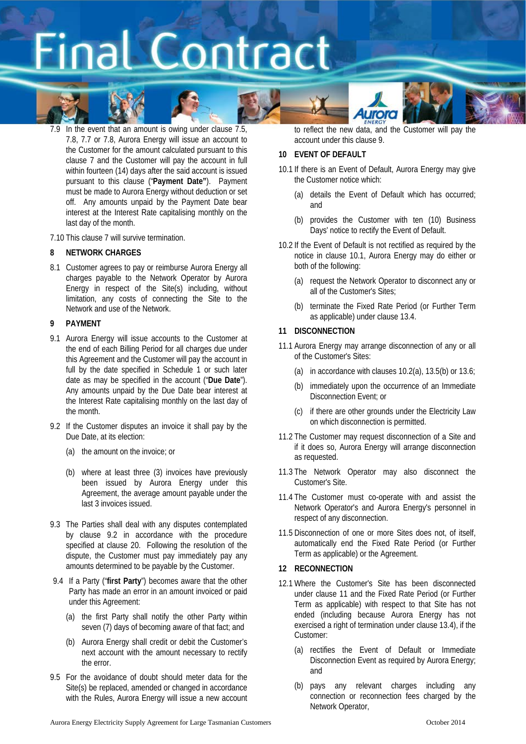











7.9 In the event that an amount is owing under clause [7.5,](#page-5-1) [7.8,](#page-5-8) [7.7](#page-5-7) or [7.8,](#page-5-8) Aurora Energy will issue an account to the Customer for the amount calculated pursuant to this clause [7](#page-5-5) and the Customer will pay the account in full within fourteen (14) days after the said account is issued pursuant to this clause ("**Payment Date"**). Payment must be made to Aurora Energy without deduction or set off. Any amounts unpaid by the Payment Date bear interest at the Interest Rate capitalising monthly on the last day of the month.

7.10 This claus[e 7](#page-5-5) will survive termination.

### <span id="page-6-1"></span>**8 NETWORK CHARGES**

8.1 Customer agrees to pay or reimburse Aurora Energy all charges payable to the Network Operator by Aurora Energy in respect of the Site(s) including, without limitation, any costs of connecting the Site to the Network and use of the Network.

### <span id="page-6-3"></span>**9 PAYMENT**

- <span id="page-6-0"></span>9.1 Aurora Energy will issue accounts to the Customer at the end of each Billing Period for all charges due under this Agreement and the Customer will pay the account in full by the date specified in Schedule 1 or such later date as may be specified in the account ("**Due Date**"). Any amounts unpaid by the Due Date bear interest at the Interest Rate capitalising monthly on the last day of the month.
- <span id="page-6-2"></span>9.2 If the Customer disputes an invoice it shall pay by the Due Date, at its election:
	- (a) the amount on the invoice; or
	- (b) where at least three (3) invoices have previously been issued by Aurora Energy under this Agreement, the average amount payable under the last 3 invoices issued.
- 9.3 The Parties shall deal with any disputes contemplated by clause [9.2](#page-6-2) in accordance with the procedure specified at clause [20.](#page-9-0) Following the resolution of the dispute, the Customer must pay immediately pay any amounts determined to be payable by the Customer.
- 9.4 If a Party ("**first Party**") becomes aware that the other Party has made an error in an amount invoiced or paid under this Agreement:
	- (a) the first Party shall notify the other Party within seven (7) days of becoming aware of that fact; and
	- (b) Aurora Energy shall credit or debit the Customer's next account with the amount necessary to rectify the error.
- 9.5 For the avoidance of doubt should meter data for the Site(s) be replaced, amended or changed in accordance with the Rules, Aurora Energy will issue a new account

to reflect the new data, and the Customer will pay the account under this claus[e 9.](#page-6-3)

### **10 EVENT OF DEFAULT**

- <span id="page-6-4"></span>10.1 If there is an Event of Default, Aurora Energy may give the Customer notice which:
	- (a) details the Event of Default which has occurred; and
	- (b) provides the Customer with ten (10) Business Days' notice to rectify the Event of Default.
- <span id="page-6-5"></span>10.2 If the Event of Default is not rectified as required by the notice in clause [10.1,](#page-6-4) Aurora Energy may do either or both of the following:
	- (a) request the Network Operator to disconnect any or all of the Customer's Sites;
	- (b) terminate the Fixed Rate Period (or Further Term as applicable) under clause [13.4.](#page-7-0)

### <span id="page-6-6"></span>**11 DISCONNECTION**

- 11.1 Aurora Energy may arrange disconnection of any or all of the Customer's Sites:
	- (a) in accordance with clauses  $10.2(a)$ ,  $13.5(b)$  or  $13.6$ ;
	- (b) immediately upon the occurrence of an Immediate Disconnection Event; or
	- (c) if there are other grounds under the Electricity Law on which disconnection is permitted.
- 11.2 The Customer may request disconnection of a Site and if it does so, Aurora Energy will arrange disconnection as requested.
- 11.3 The Network Operator may also disconnect the Customer's Site.
- 11.4 The Customer must co-operate with and assist the Network Operator's and Aurora Energy's personnel in respect of any disconnection.
- 11.5 Disconnection of one or more Sites does not, of itself, automatically end the Fixed Rate Period (or Further Term as applicable) or the Agreement.

### **12 RECONNECTION**

- 12.1 Where the Customer's Site has been disconnected under clause [11](#page-6-6) and the Fixed Rate Period (or Further Term as applicable) with respect to that Site has not ended (including because Aurora Energy has not exercised a right of termination under claus[e 13.4\)](#page-7-0), if the Customer:
	- (a) rectifies the Event of Default or Immediate Disconnection Event as required by Aurora Energy; and
	- (b) pays any relevant charges including any connection or reconnection fees charged by the Network Operator,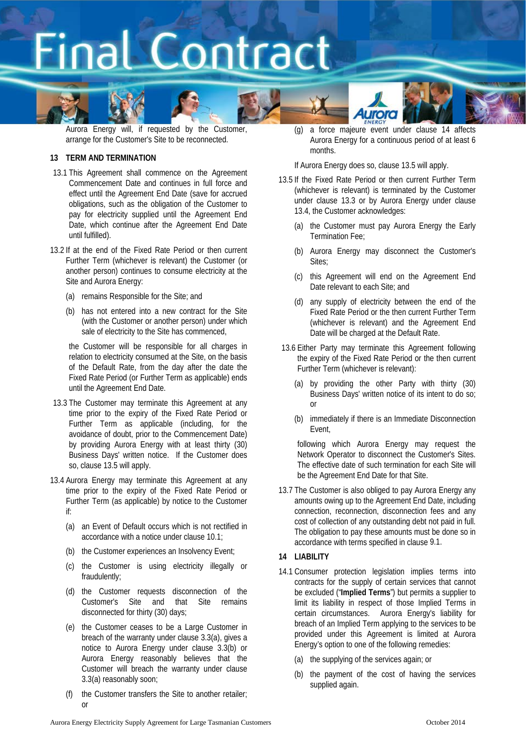



Aurora Energy will, if requested by the Customer, arrange for the Customer's Site to be reconnected.

### **13 TERM AND TERMINATION**

- 13.1 This Agreement shall commence on the Agreement Commencement Date and continues in full force and effect until the Agreement End Date (save for accrued obligations, such as the obligation of the Customer to pay for electricity supplied until the Agreement End Date, which continue after the Agreement End Date until fulfilled).
- <span id="page-7-5"></span>13.2 If at the end of the Fixed Rate Period or then current Further Term (whichever is relevant) the Customer (or another person) continues to consume electricity at the Site and Aurora Energy:
	- (a) remains Responsible for the Site; and
	- (b) has not entered into a new contract for the Site (with the Customer or another person) under which sale of electricity to the Site has commenced,

the Customer will be responsible for all charges in relation to electricity consumed at the Site, on the basis of the Default Rate, from the day after the date the Fixed Rate Period (or Further Term as applicable) ends until the Agreement End Date.

- 13.3 The Customer may terminate this Agreement at any time prior to the expiry of the Fixed Rate Period or Further Term as applicable (including, for the avoidance of doubt, prior to the Commencement Date) by providing Aurora Energy with at least thirty (30) Business Days' written notice. If the Customer does so, clause [13.5](#page-7-3) will apply.
- <span id="page-7-0"></span>13.4 Aurora Energy may terminate this Agreement at any time prior to the expiry of the Fixed Rate Period or Further Term (as applicable) by notice to the Customer if:
	- (a) an Event of Default occurs which is not rectified in accordance with a notice under clause [10.1;](#page-6-4)
	- (b) the Customer experiences an Insolvency Event;
	- (c) the Customer is using electricity illegally or fraudulently;
	- (d) the Customer requests disconnection of the Customer's Site and that Site remains disconnected for thirty (30) days;
	- (e) the Customer ceases to be a Large Customer in breach of the warranty under clause [3.3\(a\),](#page-3-2) gives a notice to Aurora Energy under clause [3.3\(b\)](#page-3-3) or Aurora Energy reasonably believes that the Customer will breach the warranty under clause [3.3\(a\)](#page-3-2) reasonably soon;
	- (f) the Customer transfers the Site to another retailer; or

(g) a force majeure event under clause [14](#page-7-4) affects Aurora Energy for a continuous period of at least 6 months.

If Aurora Energy does so, claus[e 13.5](#page-7-3) will apply.

- <span id="page-7-3"></span><span id="page-7-1"></span>13.5 If the Fixed Rate Period or then current Further Term (whichever is relevant) is terminated by the Customer under clause [13.3](#page-7-5) or by Aurora Energy under clause [13.4,](#page-7-0) the Customer acknowledges:
	- (a) the Customer must pay Aurora Energy the Early Termination Fee;
	- (b) Aurora Energy may disconnect the Customer's Sites;
	- (c) this Agreement will end on the Agreement End Date relevant to each Site; and
	- (d) any supply of electricity between the end of the Fixed Rate Period or the then current Further Term (whichever is relevant) and the Agreement End Date will be charged at the Default Rate.
- <span id="page-7-2"></span>13.6 Either Party may terminate this Agreement following the expiry of the Fixed Rate Period or the then current Further Term (whichever is relevant):
	- (a) by providing the other Party with thirty (30) Business Days' written notice of its intent to do so; or
	- (b) immediately if there is an Immediate Disconnection Event,

following which Aurora Energy may request the Network Operator to disconnect the Customer's Sites. The effective date of such termination for each Site will be the Agreement End Date for that Site.

13.7 The Customer is also obliged to pay Aurora Energy any amounts owing up to the Agreement End Date, including connection, reconnection, disconnection fees and any cost of collection of any outstanding debt not paid in full. The obligation to pay these amounts must be done so in accordance with terms specified in clause [9.1.](#page-6-0)

### <span id="page-7-4"></span>**14 LIABILITY**

- <span id="page-7-6"></span>14.1 Consumer protection legislation implies terms into contracts for the supply of certain services that cannot be excluded ("**Implied Terms**") but permits a supplier to limit its liability in respect of those Implied Terms in certain circumstances. Aurora Energy's liability for breach of an Implied Term applying to the services to be provided under this Agreement is limited at Aurora Energy's option to one of the following remedies:
	- (a) the supplying of the services again; or
	- (b) the payment of the cost of having the services supplied again.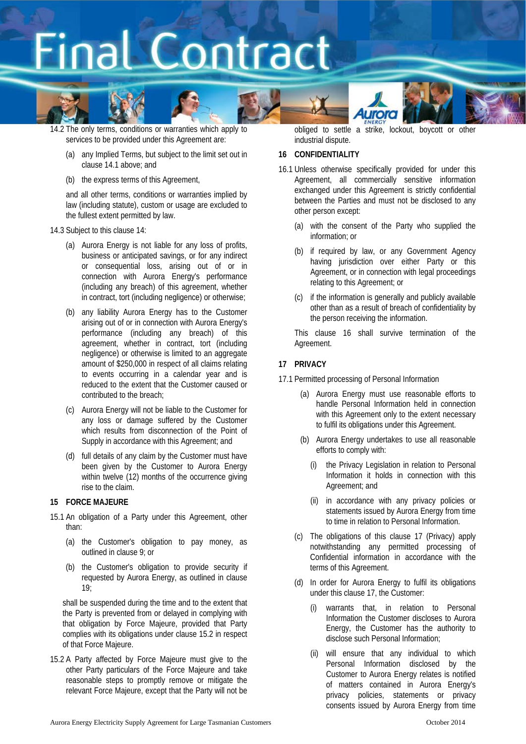







- (a) any Implied Terms, but subject to the limit set out in claus[e 14.1](#page-7-6) above; and
- (b) the express terms of this Agreement,

and all other terms, conditions or warranties implied by law (including statute), custom or usage are excluded to the fullest extent permitted by law.

- 14.3 Subject to this claus[e 14:](#page-7-4)
	- (a) Aurora Energy is not liable for any loss of profits, business or anticipated savings, or for any indirect or consequential loss, arising out of or in connection with Aurora Energy's performance (including any breach) of this agreement, whether in contract, tort (including negligence) or otherwise;
	- (b) any liability Aurora Energy has to the Customer arising out of or in connection with Aurora Energy's performance (including any breach) of this agreement, whether in contract, tort (including negligence) or otherwise is limited to an aggregate amount of \$250,000 in respect of all claims relating to events occurring in a calendar year and is reduced to the extent that the Customer caused or contributed to the breach;
	- (c) Aurora Energy will not be liable to the Customer for any loss or damage suffered by the Customer which results from disconnection of the Point of Supply in accordance with this Agreement; and
	- (d) full details of any claim by the Customer must have been given by the Customer to Aurora Energy within twelve (12) months of the occurrence giving rise to the claim.

### **15 FORCE MAJEURE**

- 15.1 An obligation of a Party under this Agreement, other than:
	- (a) the Customer's obligation to pay money, as outlined in clause [9;](#page-6-3) or
	- (b) the Customer's obligation to provide security if requested by Aurora Energy, as outlined in clause  $19<sup>°</sup>$

shall be suspended during the time and to the extent that the Party is prevented from or delayed in complying with that obligation by Force Majeure, provided that Party complies with its obligations under clause [15.2](#page-8-0) in respect of that Force Majeure.

<span id="page-8-0"></span>15.2 A Party affected by Force Majeure must give to the other Party particulars of the Force Majeure and take reasonable steps to promptly remove or mitigate the relevant Force Majeure, except that the Party will not be

obliged to settle a strike, lockout, boycott or other industrial dispute.

### <span id="page-8-1"></span>**16 CONFIDENTIALITY**

- 16.1 Unless otherwise specifically provided for under this Agreement, all commercially sensitive information exchanged under this Agreement is strictly confidential between the Parties and must not be disclosed to any other person except:
	- (a) with the consent of the Party who supplied the information; or
	- (b) if required by law, or any Government Agency having jurisdiction over either Party or this Agreement, or in connection with legal proceedings relating to this Agreement; or
	- (c) if the information is generally and publicly available other than as a result of breach of confidentiality by the person receiving the information.

This clause [16](#page-8-1) shall survive termination of the Agreement.

### <span id="page-8-2"></span>**17 PRIVACY**

17.1 Permitted processing of Personal Information

- (a) Aurora Energy must use reasonable efforts to handle Personal Information held in connection with this Agreement only to the extent necessary to fulfil its obligations under this Agreement.
- (b) Aurora Energy undertakes to use all reasonable efforts to comply with:
	- the Privacy Legislation in relation to Personal Information it holds in connection with this Agreement; and
	- (ii) in accordance with any privacy policies or statements issued by Aurora Energy from time to time in relation to Personal Information.
- (c) The obligations of this clause [17](#page-8-2) (Privacy) apply notwithstanding any permitted processing of Confidential information in accordance with the terms of this Agreement.
- (d) In order for Aurora Energy to fulfil its obligations under this claus[e 17,](#page-8-2) the Customer:
	- (i) warrants that, in relation to Personal Information the Customer discloses to Aurora Energy, the Customer has the authority to disclose such Personal Information;
	- (ii) will ensure that any individual to which Personal Information disclosed by the Customer to Aurora Energy relates is notified of matters contained in Aurora Energy's privacy policies, statements or privacy consents issued by Aurora Energy from time

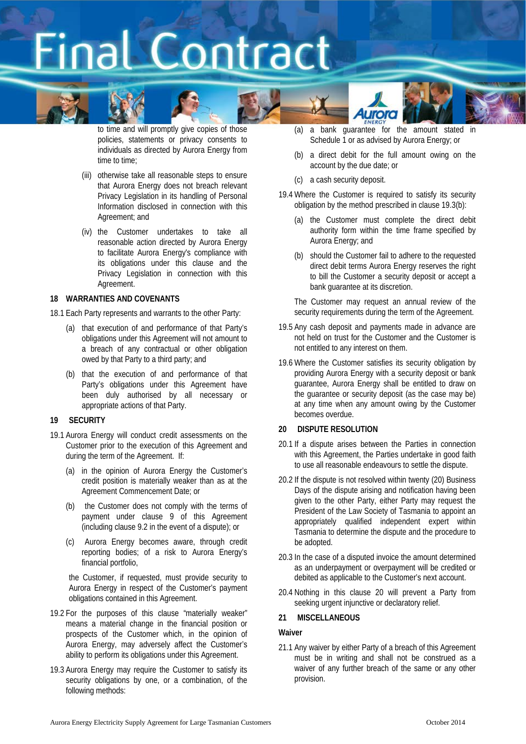



to time and will promptly give copies of those policies, statements or privacy consents to individuals as directed by Aurora Energy from time to time;

- (iii) otherwise take all reasonable steps to ensure that Aurora Energy does not breach relevant Privacy Legislation in its handling of Personal Information disclosed in connection with this Agreement; and
- (iv) the Customer undertakes to take all reasonable action directed by Aurora Energy to facilitate Aurora Energy's compliance with its obligations under this clause and the Privacy Legislation in connection with this Agreement.

### **18 WARRANTIES AND COVENANTS**

18.1 Each Party represents and warrants to the other Party:

- (a) that execution of and performance of that Party's obligations under this Agreement will not amount to a breach of any contractual or other obligation owed by that Party to a third party; and
- (b) that the execution of and performance of that Party's obligations under this Agreement have been duly authorised by all necessary or appropriate actions of that Party.

### <span id="page-9-1"></span>**19 SECURITY**

- 19.1 Aurora Energy will conduct credit assessments on the Customer prior to the execution of this Agreement and during the term of the Agreement. If:
	- (a) in the opinion of Aurora Energy the Customer's credit position is materially weaker than as at the Agreement Commencement Date; or
	- (b) the Customer does not comply with the terms of payment under clause [9](#page-6-3) of this Agreement (including claus[e 9.2](#page-6-2) in the event of a dispute); or
	- (c) Aurora Energy becomes aware, through credit reporting bodies; of a risk to Aurora Energy's financial portfolio,

the Customer, if requested, must provide security to Aurora Energy in respect of the Customer's payment obligations contained in this Agreement.

- 19.2 For the purposes of this clause "materially weaker" means a material change in the financial position or prospects of the Customer which, in the opinion of Aurora Energy, may adversely affect the Customer's ability to perform its obligations under this Agreement.
- 19.3 Aurora Energy may require the Customer to satisfy its security obligations by one, or a combination, of the following methods:
- (a) a bank guarantee for the amount stated in Schedule 1 or as advised by Aurora Energy; or
- <span id="page-9-2"></span>(b) a direct debit for the full amount owing on the account by the due date; or
- (c) a cash security deposit.
- 19.4 Where the Customer is required to satisfy its security obligation by the method prescribed in clause [19.3\(b\):](#page-9-2)
	- (a) the Customer must complete the direct debit authority form within the time frame specified by Aurora Energy; and
	- (b) should the Customer fail to adhere to the requested direct debit terms Aurora Energy reserves the right to bill the Customer a security deposit or accept a bank guarantee at its discretion.

The Customer may request an annual review of the security requirements during the term of the Agreement.

- 19.5 Any cash deposit and payments made in advance are not held on trust for the Customer and the Customer is not entitled to any interest on them.
- 19.6 Where the Customer satisfies its security obligation by providing Aurora Energy with a security deposit or bank guarantee, Aurora Energy shall be entitled to draw on the guarantee or security deposit (as the case may be) at any time when any amount owing by the Customer becomes overdue.

### <span id="page-9-0"></span>**20 DISPUTE RESOLUTION**

- 20.1 If a dispute arises between the Parties in connection with this Agreement, the Parties undertake in good faith to use all reasonable endeavours to settle the dispute.
- 20.2 If the dispute is not resolved within twenty (20) Business Days of the dispute arising and notification having been given to the other Party, either Party may request the President of the Law Society of Tasmania to appoint an appropriately qualified independent expert within Tasmania to determine the dispute and the procedure to be adopted.
- 20.3 In the case of a disputed invoice the amount determined as an underpayment or overpayment will be credited or debited as applicable to the Customer's next account.
- 20.4 Nothing in this clause [20](#page-9-0) will prevent a Party from seeking urgent injunctive or declaratory relief.

### **21 MISCELLANEOUS**

### **Waiver**

21.1 Any waiver by either Party of a breach of this Agreement must be in writing and shall not be construed as a waiver of any further breach of the same or any other provision.